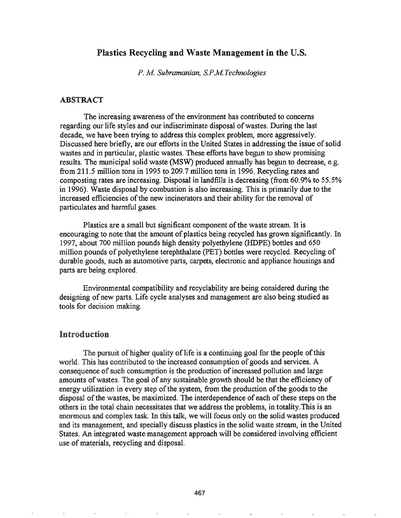# Plastics Recycling and Waste Management in the U.S.

*P. M Subramanian, S.P.M Technologies*

### ABSTRACT

The increasing awareness of the environment has contributed to concerns regarding our life styles and our indiscriminate disposal of wastes. During the last decade, we have been trying to address this complex problem, more aggressively. Discussed here briefly, are our efforts in the United States in addressing the issue of solid wastes and in particular, plastic wastes. These efforts have begun to show promising results. The municipal solid waste (MSW) produced annually has begun to decrease, e.g. from 211.5 million tons in 1995 to 209.7 million tons in 1996. Recycling rates and composting rates are increasing. Disposal in landfills is decreasing (from 60.9% to 55.5% in 1996). Waste disposal by combustion is also increasing. This is primarily due to the increased efficiencies of the new incinerators and their ability for the removal of particulates and harmful gases.

Plastics are a small but significant component of the waste stream. It is encouraging to note that the amount of plastics being recycled has grown significantly. In 1997, about 700 million pounds high density polyethylene (HDPE) bottles and 650 million pounds of polyethylene terephthalate (PET) bottles were recycled. Recycling of durable goods, such as automotive parts, carpets, electronic and appliance housings and parts are being explored.

Environmental compatibility and recyclability are being considered during the designing of new parts. Life cycle analyses and management are also being studied as tools for decision making.

# Introduction

The pursuit of higher quality of life is a continuing goal for the people of this world. This has contributed to the increased consumption of goods and services. A consequence of such consumption is the production of increased pollution and large amounts of wastes. The goal of any sustainable growth should be that the efficiency of energy utilization in every step of the system, from the production of the goods to the disposal of the wastes, be maximized. The interdependence of each of these steps on the others in the total chain necessitates that we address the problems, in totality.This is an enormous and complex task. In this talk, we will focus only on the solid wastes produced and its management, and specially discuss plastics in the solid waste stream, in the United States. An integrated waste management approach will be considered involving efficient use of materials, recycling and disposal.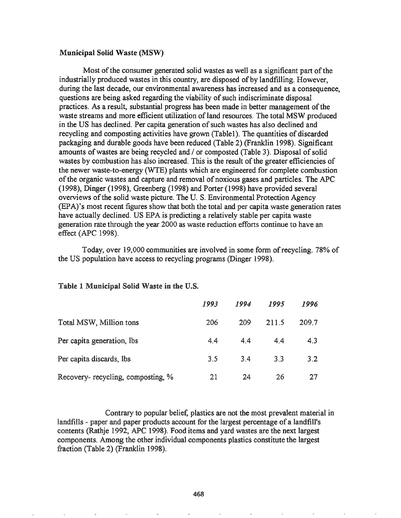### Municipal Solid Waste (MSW)

Most of the consumer generated solid wastes as well as a significant part of the industrially produced wastes in this country, are disposed of by landfilling. However, during the last decade, our environmental awareness has increased and as a consequence, questions are being asked regarding the viability of such indiscriminate disposal practices. As a result, substantial progress has been made in better management of the waste streams and more efficient utilization of land resources. The total MSW produced in the US has declined. Per capita generation of such wastes has also declined and recycling and composting activities have grown (Tablel). The quantities of discarded packaging and durable goods have been reduced (Table 2) (Franklin 1998). Significant amounts of wastes are being recycled and / or composted (Table 3). Disposal of solid wastes by combustion has also increased. This is the result of the greater efficiencies of the newer waste-to-energy (WTE) plants which are engineered for complete combustion of the organic wastes and capture and removal of noxious gases and particles. The APC (1998), Dinger (1998), Greenberg (1998) and Porter (1998) have provided several overviews of the solid waste picture. The U.S. Environmental Protection Agency (EPA)'s most recent figures show that both the total and per capita waste generation rates have actually declined. US EPA is predicting a relatively stable per capita waste generation rate through the year 2000 as waste reduction efforts continue to have an effect (APC 1998).

Today, over 19,000 communities are involved in some form ofrecycling. 78% of the US population have access to recycling programs (Dinger 1998).

|                                   | 1993 | 1994 | 1995  | 1996  |
|-----------------------------------|------|------|-------|-------|
| Total MSW, Million tons           | 206  | 209  | 211.5 | 209.7 |
| Per capita generation, lbs        | 44   | 44   | 44    | 4.3   |
| Per capita discards, lbs          | 35   | 34   | 3.3   | 3.2   |
| Recovery-recycling, composting, % | 21   | 24   | 26    | 27    |

#### Table 1 Municipal Solid Waste in the U.S.

Contrary to popular belief, plastics are not the most prevalent material in landfills - paper and paper products account for the largest percentage of a landfill's contents (Rathje 1992, APC 1998). Food items and yard wastes are the next largest components. Among the other individual components plastics constitute the largest fraction (Table 2) (Franklin 1998).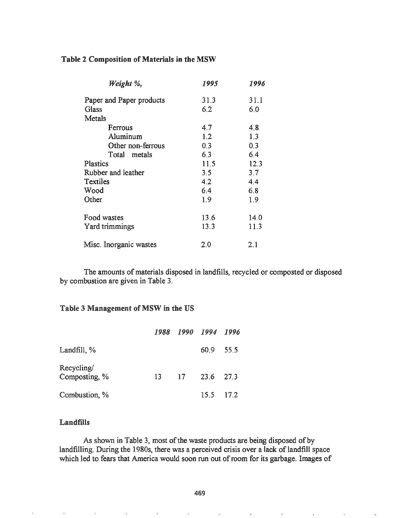## Table 2 Composition of Materials in the MSW

| Weight %,                | 1995 | 1996 |
|--------------------------|------|------|
| Paper and Paper products | 31.3 | 31.1 |
| Glass                    | 6.2  | 6.0  |
| Metals                   |      |      |
| Ferrous                  | 4.7  | 4.8  |
| Aluminum                 | 1.2  | 1.3  |
| Other non-ferrous        | 0.3  | 0.3  |
| Total metals             | 6.3  | 6.4  |
| Plastics                 | 11.5 | 12.3 |
| Rubber and leather       | 3.5  | 3.7  |
| Textiles                 | 4.2  | 4.4  |
| Wood                     | 6.4  | 6.8  |
| Other                    | 1.9  | 1.9  |
| Food wastes              | 13.6 | 14.0 |
| Yard trimmings           | 13.3 | 11.3 |
| Misc. Inorganic wastes   | 2.0  | 2.1  |

The amounts of materials disposed in landfills, recycled or composted or disposed by combustion are given in Table 3.

# Table 3 Management of MSW in the US

|                            |    |                 | 1988 1990 1994 1996 |      |
|----------------------------|----|-----------------|---------------------|------|
| Landfill, %                |    |                 | 60.9 55.5           |      |
| Recycling<br>Composting, % | 13 | 17 <sup>7</sup> | 23.6                | 27.3 |
| Combustion, %              |    |                 | 15.5                | 172  |

# **Landfills**

 $\tilde{\alpha}$ 

 $\bar{g}$ 

 $\eta_{\rm c}$ 

 $\dot{n}$ 

 $\bar{\pi}$ 

As shown in Table 3, most of the waste products are being disposed of by landfilling. During the 1980s, there was a perceived crisis over a lack of landfill space which led to fears that America would soon run out of room for its garbage. Images of

 $\tilde{\mathbf{w}}$ 

 $\tilde{\mathcal{C}}$ 

 $\tilde{\mathcal{P}}$ 

 $\hat{a}$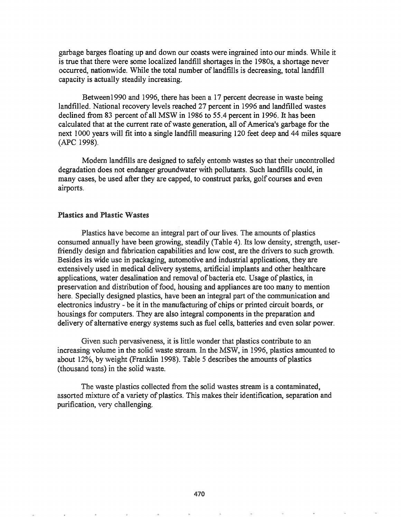garbage barges floating up and down our coasts were ingrained into our minds. While it is true that there were some localized landfill shortages in the 19808, a shortage never occurred, nationwide. While the total number of landfills is decreasing, total landfill capacity is actually steadily increasing.

Between1990 and 1996, there has been a 17 percent decrease in waste being landfilled. National recovery levels reached 27 percent in 1996 and landfilled wastes declined from 83 percent of all MSW in 1986 to 55.4 percent in 1996. It has been calculated that at the current rate of waste generation, all of America's garbage for the next 1000 years will fit into a single landfill measuring 120 feet deep and 44 miles square (APC 1998).

Modern landfills are designed to safely entomb wastes so that their uncontrolled degradation does not endanger groundwater with pollutants. Such landfills could, in many cases, be used after they are capped, to construct parks, golf courses and even airports.

## Plastics and Plastic Wastes

Plastics have become an integral part of our lives. The amounts of plastics consumed annually have been growing, steadily (Table 4). Its low density, strength, userfriendly design and fabrication capabilities and low cost, are the drivers to such growth. Besides its wide use in packaging, automotive and industrial applications, they are extensively used in medical delivery systems, artificial implants and other healthcare applications, water desalination and removal of bacteria etc. Usage of plastics, in preservation and distribution of food, housing and appliances are too many to mention here. Specially designed plastics, have been an integral part of the communication and electronics industry - be it in the manufacturing of chips or printed circuit boards, or housings for computers. They are also integral components in the preparation and delivery of alternative energy systems such as fuel cells, batteries and even solar power.

Given such pervasiveness, it is little wonder that plastics contribute to an increasing volume in the solid waste stream. In the MSW, in 1996, plastics amounted to about 12%, by weight (Franklin 1998). Table 5 describes the amounts of plastics (thousand tons) in the solid waste.

The waste plastics collected from the solid wastes stream is a contaminated, assorted mixture of a variety of plastics. This makes their identification, separation and purification, very challenging.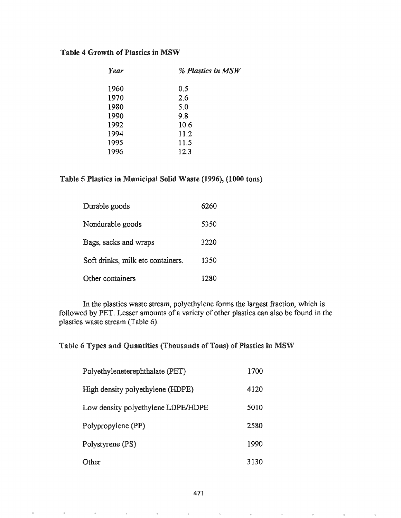# Table 4 Growth of Plastics in MSW

|              | % Plastics in MSW |  |
|--------------|-------------------|--|
| 1960<br>0.5  |                   |  |
| 1970<br>2.6  |                   |  |
| 1980<br>5.0  |                   |  |
| 1990<br>9.8  |                   |  |
| 1992<br>10.6 |                   |  |
| 1994<br>11.2 |                   |  |
| 1995<br>11.5 |                   |  |
| 1996<br>12.3 |                   |  |

# Table 5 Plastics in Municipal Solid Waste (1996), (1000 tons)

| Durable goods                     | 6260 |
|-----------------------------------|------|
| Nondurable goods                  | 5350 |
| Bags, sacks and wraps             | 3220 |
| Soft drinks, milk etc containers. | 1350 |
| Other containers                  | 1280 |

In the plastics waste stream, polyethylene forms the largest fraction, which is followed by PET. Lesser amounts of a variety of other plastics can also be found in the plastics waste stream (Table 6).

# Table 6 Types and Quantities (Thousands of Tons) of Plastics in MSW

| Polyethyleneterephthalate (PET)    | 1700 |
|------------------------------------|------|
| High density polyethylene (HDPE)   | 4120 |
| Low density polyethylene LDPE/HDPE | 5010 |
| Polypropylene (PP)                 | 2580 |
| Polystyrene (PS)                   | 1990 |
| Other                              | 3130 |

 $\langle \phi \rangle$ 

 $\bar{B}$ 

 $\tilde{\mathbf{z}}$ 

 $\mathcal{L}$ 

 $\mathbf{g}$ 

 $\theta_{\rm f}$ 

 $\Phi_{\rm{max}}$  and  $\Phi_{\rm{max}}$ 

 $\label{eq:3.1} \mathcal{B}(\mathcal{C}) = \mathcal{C}(\mathcal{C}) \otimes \mathcal{C}(\mathcal{C})$ 

 $\ast$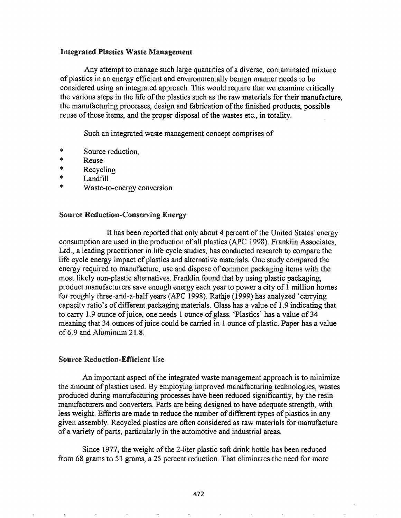### Integrated Plastics Waste Management

Any attempt to manage such large quantities of a diverse, contaminated mixture of plastics in an energy efficient and environmentally benign manner needs to be considered using an integrated approach. This would require that we examine critically the various steps in the life of the plastics such as the raw materials for their manufacture, the manufacturing processes, design and fabrication of the finished products, possible reuse of those items, and the proper disposal of the wastes etc., in totality.

Such an integrated waste management concept comprises of

- \* Source reduction,
- \* Reuse
- \* Recycling
- \* Landfill
- \* Waste-to-energy conversion

## Source Reduction-Conserving Energy

It has been reported that only about 4 percent of the United States' energy consumption are used in the production of all plastics (APC 1998). Franklin Associates, Ltd., a leading practitioner in life cycle studies, has conducted research to compare the life cycle energy impact of plastics and alternative materials. One study compared the energy required to manufacture, use and dispose of common packaging items with the most likely non-plastic alternatives. Franklin found that by using plastic packaging, product manufacturers save enough energy each year to power a city of 1 million homes for roughly three-and-a-half years (APC 1998). Rathje (1999) has analyzed 'carrying capacity ratio's of different packaging materials. Glass has a value of 1.9 indicating that to carry 1.9 ounce of juice, one needs 1 ounce of glass. 'Plastics' has a value of 34 meaning that 34 ounces of juice could be carried in 1 ounce of plastic. Paper has a value of6.9 and Aluminum 21.8.

## Source Reduction-Efficient Use

An important aspect of the integrated waste management approach is to minimize the amount of plastics used. By employing improved manufacturing technologies, wastes produced during manufacturing processes have been reduced significantly, by the resin manufacturers and converters. Parts are being designed to have adequate strength, with less weight. Efforts are made to reduce the number of different types of plastics in any given assembly. Recycled plastics are often considered as raw materials for manufacture of a variety of parts, particularly in the automotive and industrial areas.

Since 1977, the weight of the 2-liter plastic soft drink bottle has been reduced from 68 grams to 51 grams, a 25 percent reduction. That eliminates the need for more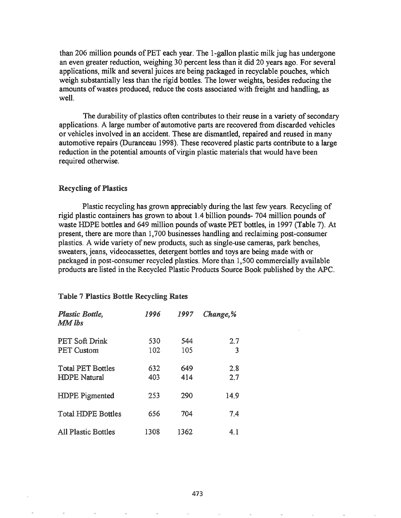than 206 million pounds of PET each year. The 1-gallon plastic milk jug has undergone an even greater reduction, weighing 30 percent less than it did 20 years ago. For several applications, milk and several juices are being packaged in recyclable pouches, which weigh substantially less than the rigid bottles. The lower weights, besides reducing the amounts of wastes produced, reduce the costs associated with freight and handling, as well.

The durability of plastics often contributes to their reuse in a variety of secondary applications. A large number of automotive parts are recovered from discarded vehicles or vehicles involved in an accident. These are dismantled, repaired and reused in many automotive repairs (Duranceau 1998). These recovered plastic parts contribute to a large reduction in the potential amounts of virgin plastic materials that would have been required otherwise.

### **Recycling of Plastics**

Plastic recycling has grown appreciably during the last few years. Recycling of rigid plastic containers has grown to about 1.4 billion pounds- 704 million pounds of waste HDPE bottles and 649 million pounds of waste PET bottles, in 1997 (Table 7). At present, there are more than 1,700 businesses handling and reclaiming post-consumer plastics. A wide variety of new products, such as single-use cameras, park benches, sweaters, jeans, videocassettes, detergent bottles and toys are being made with or packaged in post-consumer recycled plastics. More than 1,500 commercially available products are listed in the Recycled Plastic Products Source Book published by the APe.

| Plastic Bottle,<br>MM lbs                       | 1996       | 1997       | Change,%   |
|-------------------------------------------------|------------|------------|------------|
| PET Soft Drink<br><b>PET Custom</b>             | 530<br>102 | 544<br>105 | 2.7<br>3   |
| <b>Total PET Bottles</b><br><b>HDPE Natural</b> | 632<br>403 | 649<br>414 | 2.8<br>2.7 |
| <b>HDPE</b> Pigmented                           | 253        | 290        | 14.9       |
| <b>Total HDPE Bottles</b>                       | 656        | 704        | 7.4        |
| <b>All Plastic Bottles</b>                      | 1308       | 1362       | 4.1        |

#### Table 7 Plastics Bottle Recycling Rates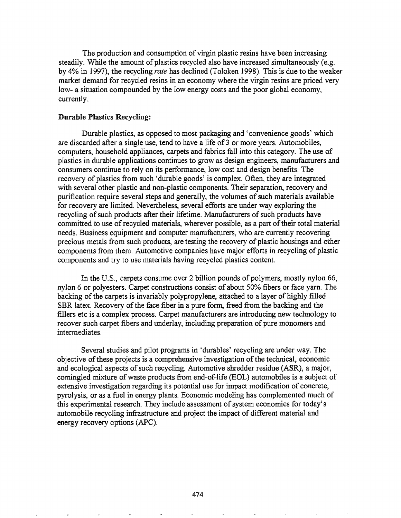The production and consumption of virgin plastic resins have been increasing steadily. While the amount of plastics recycled also have increased simultaneously (e.g. by 4% in 1997), the recycling *rate* has declined (Toloken 1998). This is due to the weaker market demand for recycled resins in an economy where the virgin resins are priced very low- a situation compounded by the low energy costs and the poor global economy, currently.

## Durable Plastics Recycling:

Durable plastics, as opposed to most packaging and 'convenience goods' which are discarded after a single use, tend to have a life of 3 or more years. Automobiles, computers, household appliances, carpets and fabrics fall into this category. The use of plastics in durable applications continues to grow as design engineers, manufacturers and consumers continue to rely on its performance, low cost and design benefits. The recovery of plastics from such 'durable goods' is complex. Often, they are integrated with several other plastic and non-plastic components. Their separation, recovery and purification require several steps and generally, the volumes of such materials available for recovery are limited. Nevertheless, several efforts are under way exploring the recycling of such products after their lifetime. Manufacturers of such products have committed to use of recycled materials, wherever possible, as a part of their total material needs. Business equipment and computer manufacturers, who are currently recovering precious metals from such products, are testing the recovery of plastic housings and other components from them. Automotive companies have major efforts in recycling of plastic components and try to use materials having recycled plastics content.

In the U.S., carpets consume over 2 billion pounds of polymers, mostly nylon 66, nylon 6 or polyesters. Carpet constructions consist of about 50% fibers or face yarn. The backing of the carpets is invariably polypropylene, attached to a layer of highly filled SBR latex. Recovery of the face fiber in a pure form, freed from the backing and the fillers etc is a complex process. Carpet manufacturers are introducing new technology to recover such carpet fibers and underlay, including preparation of pure monomers and intermediates.

Several studies and pilot programs in 'durables' recycling are under way. The objective of these projects is a comprehensive investigation of the technical, economic and ecological aspects of such recycling. Automotive shredder residue (ASR), a major, comingled mixture of waste products from end-of-life (EOL) automobiles is a subject of extensive investigation regarding its potential use for impact modification of concrete, pyrolysis, or as a fuel in energy plants. Economic modeling has complemented much of this experimental research. They include assessment of system economies for today's automobile recycling infrastructure and project the impact of different material and energy recovery options (APC).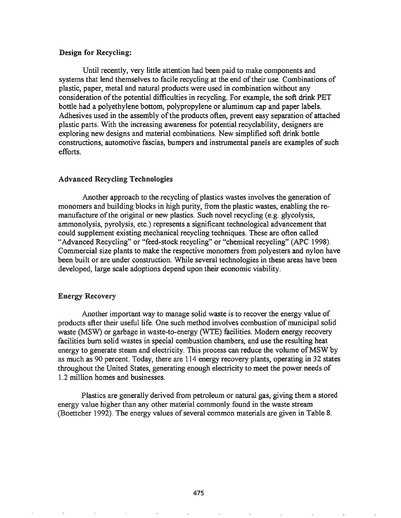## Design for Recycling:

Until recently, very little attention had been paid to make components and systems that lend themselves to facile recycling at the end of their use. Combinations of plastic, paper, metal and natural products were used in combination without any consideration of the potential difficulties in recycling. For example, the soft drink PET bottle had a polyethylene bottom, polypropylene or aluminum cap and paper labels. Adhesives used in the assembly of the products often, prevent easy separation of attached plastic parts. With the increasing awareness for potential recyclability, designers are exploring new designs and material combinations. New simplified soft drink bottle constructions, automotive fascias, bumpers and instrumental panels are examples of such efforts.

## Advanced Recycling Technologies

Another approach to the recycling of plastics wastes involves the generation of monomers and building blocks in high purity, from the plastic wastes, enabling the remanufacture of the original or new plastics. Such novel recycling (e.g. glycolysis, ammonolysis, pyrolysis, etc.) represents a significant technological advancement that could supplement existing mechanical recycling techniques. These are often called "Advanced Recycling" or "feed-stock recycling" or "chemical recycling" (APC 1998). Commercial size plants to make the respective monomers from polyesters and nylon have been built or are under construction. While several technologies in these areas have been developed, large scale adoptions depend upon their economic viability.

## Energy Recovery

Another important way to manage solid waste is to recover the energy value of products after their useful life. One such method involves combustion of municipal solid waste (MSW) or garbage in waste-to-energy (WTE) facilities. Modern energy recovery facilities burn solid wastes in special combustion chambers, and use the resulting heat energy to generate steam and electricity. This process can reduce the volume of MSW by as much as 90 percent. Today, there are 114 energy recovery plants, operating in 32 states throughout the United States, generating enough electricity to meet the power needs of 1.2 million homes and businesses.

Plastics are generally derived from petroleum or natural gas, giving them a stored energy value higher than any other material commonly found in the waste stream (Boettcher 1992). The energy values of several common materials are given in Table 8.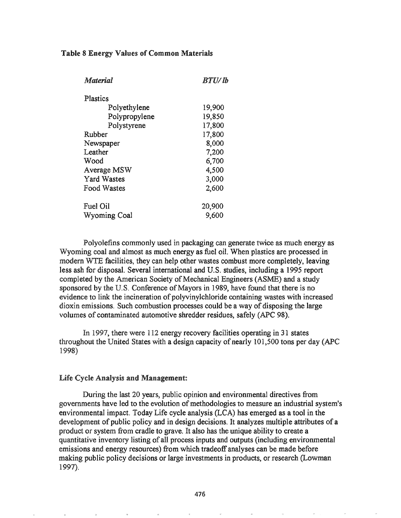### Table 8 Energy Values of Common Materials

| Material           | <b>BTU/lb</b> |
|--------------------|---------------|
| Plastics           |               |
| Polyethylene       | 19,900        |
| Polypropylene      | 19,850        |
| Polystyrene        | 17,800        |
| Rubber             | 17,800        |
| Newspaper          | 8,000         |
| Leather            | 7,200         |
| Wood               | 6,700         |
| Average MSW        | 4,500         |
| <b>Yard Wastes</b> | 3,000         |
| Food Wastes        | 2,600         |
| <b>Fuel Oil</b>    | 20,900        |
| Wyoming Coal       | 9,600         |

Polyolefins commonly used in packaging can generate twice as much energy as Wyoming coal and almost as much energy as fuel oil. When plastics are processed in modern WTE facilities, they can help other wastes combust more completely, leaving less ash for disposal. Several international and U.s. studies, including a 1995 report completed by the American Society of Mechanical Engineers (ASME) and a study sponsored by the U.S. Conference of Mayors in 1989, have found that there is no evidence to link the incineration of polyvinylchloride containing wastes with increased dioxin emissions. Such combustion processes could be a way of disposing the large volumes of contaminated automotive shredder residues, safely (APC 98).

1997, there were 112 energy recovery facilities operating in 31 states throughout the United States with a design capacity of nearly  $101,500$  tons per day (APC 1998)

#### Life Cycle Analysis and Management:

During the last 20 years, public opinion and environmental directives from governments have led to the evolution of methodologies to measure an industrial system's environmental impact. Today Life cycle analysis  $(LCA)$  has emerged as a tool in the development of public policy and in design decisions. It analyzes multiple attributes of a product or system from cradle to grave. It also has the unique ability to create a quantitative inventory listing of all process inputs and outputs (including environmental emissions and energy resources) from which tradeoff analyses can be made before making public policy decisions or large investments in products, or research (Lowman 1997).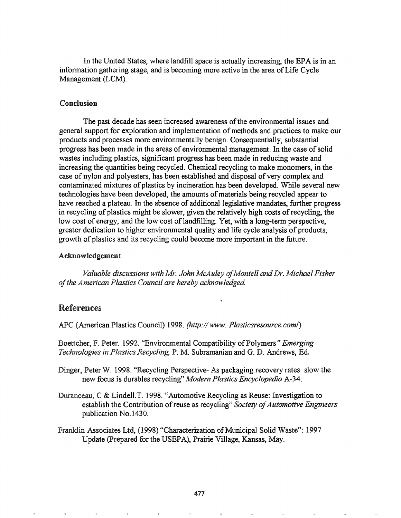In the United States, where landfill space is actually increasing, the EPA is in an information gathering stage, and is becoming more active in the area of Life Cycle Management (LCM).

## Conclusion

The past decade has seen increased awareness ofthe environmental issues and general support for exploration and implementation of methods and practices to make our products and processes more environmentally benign. Consequentially, substantial progress has been made in the areas of environmental management. In the case of solid wastes including plastics, significant progress has been made in reducing waste and increasing the quantities being recycled. Chemical recycling to make monomers, in the case of nylon and polyesters, has been established and disposal of very complex and contaminated mixtures of plastics by incineration has been developed. While several new technologies have been developed, the amounts of materials being recycled appear to have reached a plateau. In the absence of additional legislative mandates, further progress in recycling of plastics might be slower, given the relatively high costs of recycling, the low cost of energy, and the low cost of landfilling. Yet, with a long-term perspective, greater dedication to higher environmental quality and life cycle analysis of products, growth of plastics and its recycling could become more important in the future.

### Acknowledgement

*Valuable discussions with Mr. John McAuley of Montell and Dr. Michael Fisher ofthe American Plastics Council are hereby acknowledged*

# References

APC (American Plastics Council) 1998. *(http://www. Plasticsresource.com/*)

Boettcher, F. Peter. 1992. "Environmental Compatibility of Polymers" *Emerging Technologies in Plastics Recycling, P. M. Subramanian and G. D. Andrews, Ed.* 

- Dinger, Peter W. 1998. "Recycling Perspective- As packaging recovery rates slow the new focus is durables recycling" *Modern Plastics Encyclopedia* A-34.
- Duranceau, C & Lindell.T. 1998. "Automotive Recycling as Reuse: Investigation to establish the Contribution of reuse as recycling" *Society of Automotive Engineers* publication No. 1430.
- Franklin Associates Ltd, (1998) "Characterization of Municipal Solid Waste": 1997 Update (prepared for the USEPA), Prairie Village, Kansas, May.